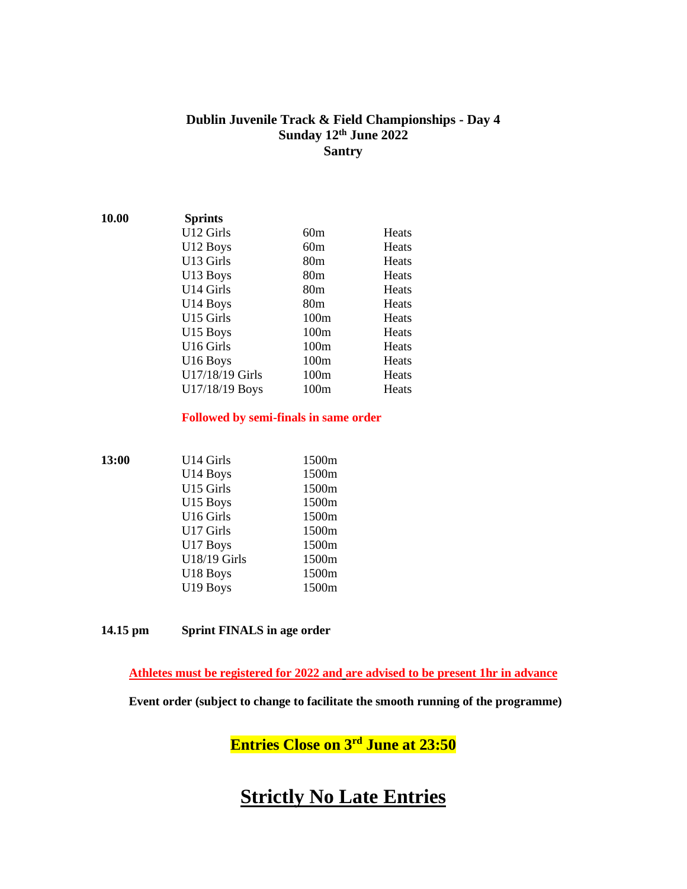### **Dublin Juvenile Track & Field Championships - Day 4 Sunday 12 th June 2022 Santry**

| 10.00 | <b>Sprints</b>       |                 |              |
|-------|----------------------|-----------------|--------------|
|       | U12 Girls            | 60m             | Heats        |
|       | U12 Boys             | 60m             | Heats        |
|       | U13 Girls            | 80 <sub>m</sub> | Heats        |
|       | U13 Boys             | 80 <sub>m</sub> | Heats        |
|       | U14 Girls            | 80 <sub>m</sub> | Heats        |
|       | U14 Boys             | 80 <sub>m</sub> | Heats        |
|       | U15 Girls            | 100m            | Heats        |
|       | U15 Boys             | 100m            | <b>Heats</b> |
|       | U16 Girls            | 100m            | Heats        |
|       | U <sub>16</sub> Boys | 100m            | Heats        |
|       | U17/18/19 Girls      | 100m            | Heats        |
|       | U17/18/19 Boys       | 100m            | Heats        |

#### **Followed by semi-finals in same order**

| 13:00 | U14 Girls            | 1500m |
|-------|----------------------|-------|
|       | U <sub>14</sub> Boys | 1500m |
|       | U15 Girls            | 1500m |
|       | U15 Boys             | 1500m |
|       | U16 Girls            | 1500m |
|       | U17 Girls            | 1500m |
|       | U17 Boys             | 1500m |
|       | U18/19 Girls         | 1500m |
|       | U18 Boys             | 1500m |
|       | U19 Boys             | 1500m |
|       |                      |       |

**14.15 pm Sprint FINALS in age order**

**Athletes must be registered for 2022 and are advised to be present 1hr in advance**

 **Event order (subject to change to facilitate the smooth running of the programme)**

**Entries Close on 3rd June at 23:50**

# **Strictly No Late Entries**